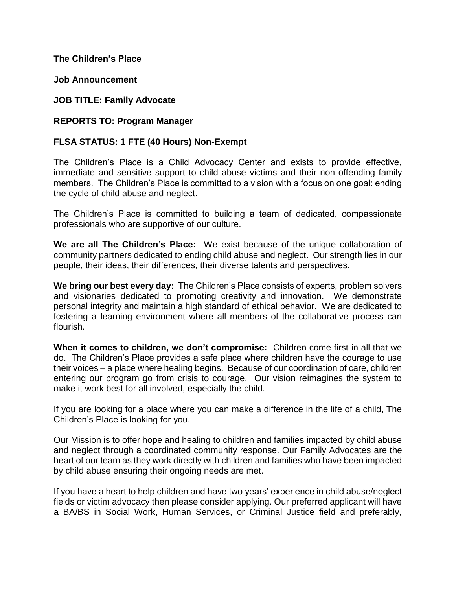#### **The Children's Place**

**Job Announcement**

**JOB TITLE: Family Advocate**

**REPORTS TO: Program Manager**

### **FLSA STATUS: 1 FTE (40 Hours) Non-Exempt**

The Children's Place is a Child Advocacy Center and exists to provide effective, immediate and sensitive support to child abuse victims and their non-offending family members. The Children's Place is committed to a vision with a focus on one goal: ending the cycle of child abuse and neglect.

The Children's Place is committed to building a team of dedicated, compassionate professionals who are supportive of our culture.

**We are all The Children's Place:** We exist because of the unique collaboration of community partners dedicated to ending child abuse and neglect. Our strength lies in our people, their ideas, their differences, their diverse talents and perspectives.

**We bring our best every day:** The Children's Place consists of experts, problem solvers and visionaries dedicated to promoting creativity and innovation. We demonstrate personal integrity and maintain a high standard of ethical behavior. We are dedicated to fostering a learning environment where all members of the collaborative process can flourish.

**When it comes to children, we don't compromise:** Children come first in all that we do. The Children's Place provides a safe place where children have the courage to use their voices – a place where healing begins. Because of our coordination of care, children entering our program go from crisis to courage. Our vision reimagines the system to make it work best for all involved, especially the child.

If you are looking for a place where you can make a difference in the life of a child, The Children's Place is looking for you.

Our Mission is to offer hope and healing to children and families impacted by child abuse and neglect through a coordinated community response. Our Family Advocates are the heart of our team as they work directly with children and families who have been impacted by child abuse ensuring their ongoing needs are met.

If you have a heart to help children and have two years' experience in child abuse/neglect fields or victim advocacy then please consider applying. Our preferred applicant will have a BA/BS in Social Work, Human Services, or Criminal Justice field and preferably,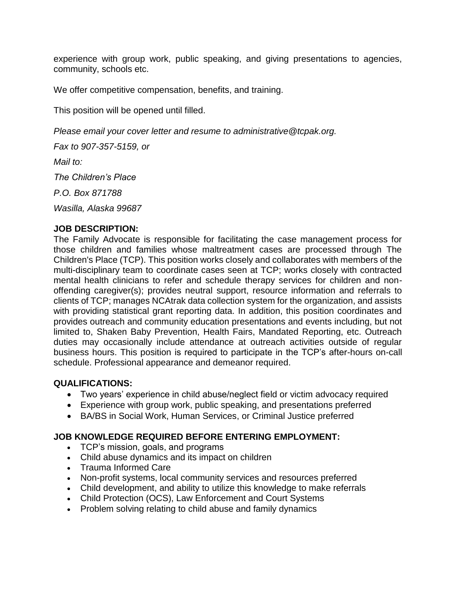experience with group work, public speaking, and giving presentations to agencies, community, schools etc.

We offer competitive compensation, benefits, and training.

This position will be opened until filled.

*Please email your cover letter and resume to administrative@tcpak.org.*

*Fax to 907-357-5159, or*

*Mail to:*

*The Children's Place*

*P.O. Box 871788*

*Wasilla, Alaska 99687*

#### **JOB DESCRIPTION:**

The Family Advocate is responsible for facilitating the case management process for those children and families whose maltreatment cases are processed through The Children's Place (TCP). This position works closely and collaborates with members of the multi-disciplinary team to coordinate cases seen at TCP; works closely with contracted mental health clinicians to refer and schedule therapy services for children and nonoffending caregiver(s); provides neutral support, resource information and referrals to clients of TCP; manages NCAtrak data collection system for the organization, and assists with providing statistical grant reporting data. In addition, this position coordinates and provides outreach and community education presentations and events including, but not limited to, Shaken Baby Prevention, Health Fairs, Mandated Reporting, etc. Outreach duties may occasionally include attendance at outreach activities outside of regular business hours. This position is required to participate in the TCP's after-hours on-call schedule. Professional appearance and demeanor required.

#### **QUALIFICATIONS:**

- Two years' experience in child abuse/neglect field or victim advocacy required
- Experience with group work, public speaking, and presentations preferred
- BA/BS in Social Work, Human Services, or Criminal Justice preferred

### **JOB KNOWLEDGE REQUIRED BEFORE ENTERING EMPLOYMENT:**

- TCP's mission, goals, and programs
- Child abuse dynamics and its impact on children
- Trauma Informed Care
- Non-profit systems, local community services and resources preferred
- Child development, and ability to utilize this knowledge to make referrals
- Child Protection (OCS), Law Enforcement and Court Systems
- Problem solving relating to child abuse and family dynamics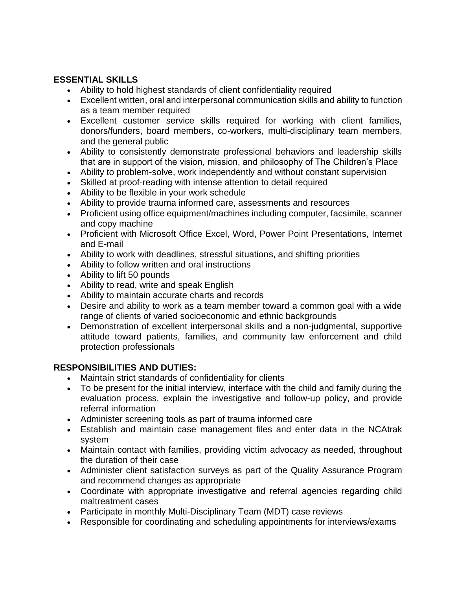## **ESSENTIAL SKILLS**

- Ability to hold highest standards of client confidentiality required
- Excellent written, oral and interpersonal communication skills and ability to function as a team member required
- Excellent customer service skills required for working with client families, donors/funders, board members, co-workers, multi-disciplinary team members, and the general public
- Ability to consistently demonstrate professional behaviors and leadership skills that are in support of the vision, mission, and philosophy of The Children's Place
- Ability to problem-solve, work independently and without constant supervision
- Skilled at proof-reading with intense attention to detail required
- Ability to be flexible in your work schedule
- Ability to provide trauma informed care, assessments and resources
- Proficient using office equipment/machines including computer, facsimile, scanner and copy machine
- Proficient with Microsoft Office Excel, Word, Power Point Presentations, Internet and E-mail
- Ability to work with deadlines, stressful situations, and shifting priorities
- Ability to follow written and oral instructions
- Ability to lift 50 pounds
- Ability to read, write and speak English
- Ability to maintain accurate charts and records
- Desire and ability to work as a team member toward a common goal with a wide range of clients of varied socioeconomic and ethnic backgrounds
- Demonstration of excellent interpersonal skills and a non-judgmental, supportive attitude toward patients, families, and community law enforcement and child protection professionals

# **RESPONSIBILITIES AND DUTIES:**

- Maintain strict standards of confidentiality for clients
- To be present for the initial interview, interface with the child and family during the evaluation process, explain the investigative and follow-up policy, and provide referral information
- Administer screening tools as part of trauma informed care
- Establish and maintain case management files and enter data in the NCAtrak system
- Maintain contact with families, providing victim advocacy as needed, throughout the duration of their case
- Administer client satisfaction surveys as part of the Quality Assurance Program and recommend changes as appropriate
- Coordinate with appropriate investigative and referral agencies regarding child maltreatment cases
- Participate in monthly Multi-Disciplinary Team (MDT) case reviews
- Responsible for coordinating and scheduling appointments for interviews/exams